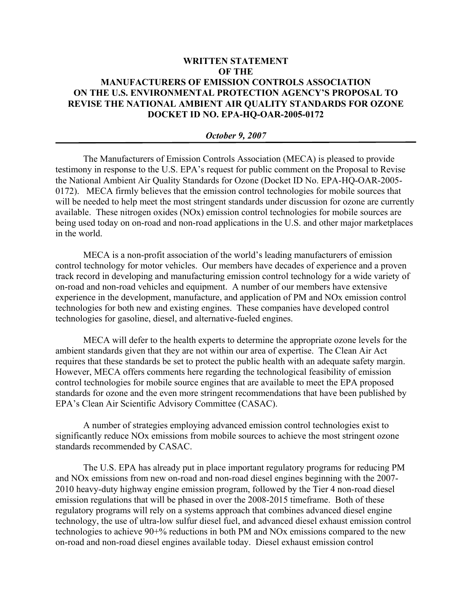## **WRITTEN STATEMENT OF THE MANUFACTURERS OF EMISSION CONTROLS ASSOCIATION ON THE U.S. ENVIRONMENTAL PROTECTION AGENCY'S PROPOSAL TO REVISE THE NATIONAL AMBIENT AIR QUALITY STANDARDS FOR OZONE DOCKET ID NO. EPA-HQ-OAR-2005-0172**

## *October 9, 2007*

The Manufacturers of Emission Controls Association (MECA) is pleased to provide testimony in response to the U.S. EPA's request for public comment on the Proposal to Revise the National Ambient Air Quality Standards for Ozone (Docket ID No. EPA-HQ-OAR-2005- 0172). MECA firmly believes that the emission control technologies for mobile sources that will be needed to help meet the most stringent standards under discussion for ozone are currently available. These nitrogen oxides (NOx) emission control technologies for mobile sources are being used today on on-road and non-road applications in the U.S. and other major marketplaces in the world.

MECA is a non-profit association of the world's leading manufacturers of emission control technology for motor vehicles. Our members have decades of experience and a proven track record in developing and manufacturing emission control technology for a wide variety of on-road and non-road vehicles and equipment. A number of our members have extensive experience in the development, manufacture, and application of PM and NOx emission control technologies for both new and existing engines. These companies have developed control technologies for gasoline, diesel, and alternative-fueled engines.

MECA will defer to the health experts to determine the appropriate ozone levels for the ambient standards given that they are not within our area of expertise. The Clean Air Act requires that these standards be set to protect the public health with an adequate safety margin. However, MECA offers comments here regarding the technological feasibility of emission control technologies for mobile source engines that are available to meet the EPA proposed standards for ozone and the even more stringent recommendations that have been published by EPA's Clean Air Scientific Advisory Committee (CASAC).

A number of strategies employing advanced emission control technologies exist to significantly reduce NOx emissions from mobile sources to achieve the most stringent ozone standards recommended by CASAC.

The U.S. EPA has already put in place important regulatory programs for reducing PM and NOx emissions from new on-road and non-road diesel engines beginning with the 2007- 2010 heavy-duty highway engine emission program, followed by the Tier 4 non-road diesel emission regulations that will be phased in over the 2008-2015 timeframe. Both of these regulatory programs will rely on a systems approach that combines advanced diesel engine technology, the use of ultra-low sulfur diesel fuel, and advanced diesel exhaust emission control technologies to achieve 90+% reductions in both PM and NOx emissions compared to the new on-road and non-road diesel engines available today. Diesel exhaust emission control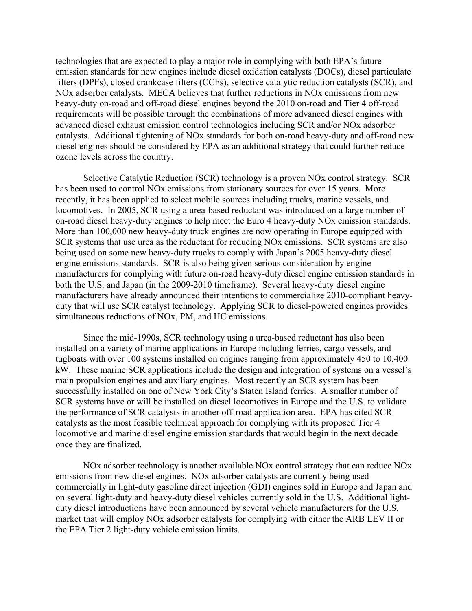technologies that are expected to play a major role in complying with both EPA's future emission standards for new engines include diesel oxidation catalysts (DOCs), diesel particulate filters (DPFs), closed crankcase filters (CCFs), selective catalytic reduction catalysts (SCR), and NOx adsorber catalysts. MECA believes that further reductions in NOx emissions from new heavy-duty on-road and off-road diesel engines beyond the 2010 on-road and Tier 4 off-road requirements will be possible through the combinations of more advanced diesel engines with advanced diesel exhaust emission control technologies including SCR and/or NOx adsorber catalysts. Additional tightening of NOx standards for both on-road heavy-duty and off-road new diesel engines should be considered by EPA as an additional strategy that could further reduce ozone levels across the country.

Selective Catalytic Reduction (SCR) technology is a proven NOx control strategy. SCR has been used to control NOx emissions from stationary sources for over 15 years. More recently, it has been applied to select mobile sources including trucks, marine vessels, and locomotives. In 2005, SCR using a urea-based reductant was introduced on a large number of on-road diesel heavy-duty engines to help meet the Euro 4 heavy-duty NOx emission standards. More than 100,000 new heavy-duty truck engines are now operating in Europe equipped with SCR systems that use urea as the reductant for reducing NOx emissions. SCR systems are also being used on some new heavy-duty trucks to comply with Japan's 2005 heavy-duty diesel engine emissions standards. SCR is also being given serious consideration by engine manufacturers for complying with future on-road heavy-duty diesel engine emission standards in both the U.S. and Japan (in the 2009-2010 timeframe). Several heavy-duty diesel engine manufacturers have already announced their intentions to commercialize 2010-compliant heavyduty that will use SCR catalyst technology. Applying SCR to diesel-powered engines provides simultaneous reductions of NOx, PM, and HC emissions.

Since the mid-1990s, SCR technology using a urea-based reductant has also been installed on a variety of marine applications in Europe including ferries, cargo vessels, and tugboats with over 100 systems installed on engines ranging from approximately 450 to 10,400 kW. These marine SCR applications include the design and integration of systems on a vessel's main propulsion engines and auxiliary engines. Most recently an SCR system has been successfully installed on one of New York City's Staten Island ferries. A smaller number of SCR systems have or will be installed on diesel locomotives in Europe and the U.S. to validate the performance of SCR catalysts in another off-road application area. EPA has cited SCR catalysts as the most feasible technical approach for complying with its proposed Tier 4 locomotive and marine diesel engine emission standards that would begin in the next decade once they are finalized.

NOx adsorber technology is another available NOx control strategy that can reduce NOx emissions from new diesel engines. NOx adsorber catalysts are currently being used commercially in light-duty gasoline direct injection (GDI) engines sold in Europe and Japan and on several light-duty and heavy-duty diesel vehicles currently sold in the U.S. Additional lightduty diesel introductions have been announced by several vehicle manufacturers for the U.S. market that will employ NOx adsorber catalysts for complying with either the ARB LEV II or the EPA Tier 2 light-duty vehicle emission limits.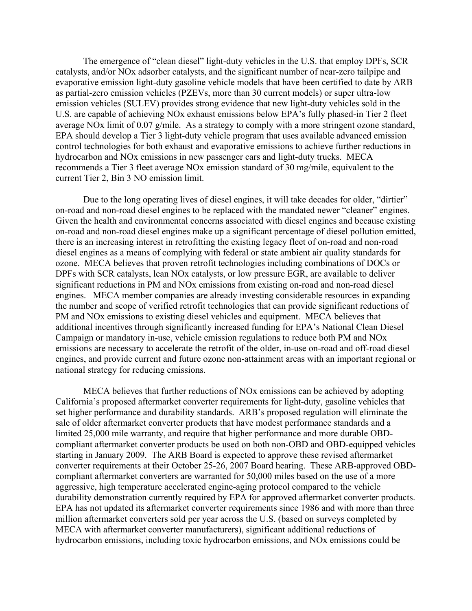The emergence of "clean diesel" light-duty vehicles in the U.S. that employ DPFs, SCR catalysts, and/or NOx adsorber catalysts, and the significant number of near-zero tailpipe and evaporative emission light-duty gasoline vehicle models that have been certified to date by ARB as partial-zero emission vehicles (PZEVs, more than 30 current models) or super ultra-low emission vehicles (SULEV) provides strong evidence that new light-duty vehicles sold in the U.S. are capable of achieving NOx exhaust emissions below EPA's fully phased-in Tier 2 fleet average NOx limit of 0.07 g/mile. As a strategy to comply with a more stringent ozone standard, EPA should develop a Tier 3 light-duty vehicle program that uses available advanced emission control technologies for both exhaust and evaporative emissions to achieve further reductions in hydrocarbon and NOx emissions in new passenger cars and light-duty trucks. MECA recommends a Tier 3 fleet average NOx emission standard of 30 mg/mile, equivalent to the current Tier 2, Bin 3 NO emission limit.

Due to the long operating lives of diesel engines, it will take decades for older, "dirtier" on-road and non-road diesel engines to be replaced with the mandated newer "cleaner" engines. Given the health and environmental concerns associated with diesel engines and because existing on-road and non-road diesel engines make up a significant percentage of diesel pollution emitted, there is an increasing interest in retrofitting the existing legacy fleet of on-road and non-road diesel engines as a means of complying with federal or state ambient air quality standards for ozone. MECA believes that proven retrofit technologies including combinations of DOCs or DPFs with SCR catalysts, lean NOx catalysts, or low pressure EGR, are available to deliver significant reductions in PM and NOx emissions from existing on-road and non-road diesel engines. MECA member companies are already investing considerable resources in expanding the number and scope of verified retrofit technologies that can provide significant reductions of PM and NOx emissions to existing diesel vehicles and equipment. MECA believes that additional incentives through significantly increased funding for EPA's National Clean Diesel Campaign or mandatory in-use, vehicle emission regulations to reduce both PM and NOx emissions are necessary to accelerate the retrofit of the older, in-use on-road and off-road diesel engines, and provide current and future ozone non-attainment areas with an important regional or national strategy for reducing emissions.

MECA believes that further reductions of NOx emissions can be achieved by adopting California's proposed aftermarket converter requirements for light-duty, gasoline vehicles that set higher performance and durability standards. ARB's proposed regulation will eliminate the sale of older aftermarket converter products that have modest performance standards and a limited 25,000 mile warranty, and require that higher performance and more durable OBDcompliant aftermarket converter products be used on both non-OBD and OBD-equipped vehicles starting in January 2009. The ARB Board is expected to approve these revised aftermarket converter requirements at their October 25-26, 2007 Board hearing. These ARB-approved OBDcompliant aftermarket converters are warranted for 50,000 miles based on the use of a more aggressive, high temperature accelerated engine-aging protocol compared to the vehicle durability demonstration currently required by EPA for approved aftermarket converter products. EPA has not updated its aftermarket converter requirements since 1986 and with more than three million aftermarket converters sold per year across the U.S. (based on surveys completed by MECA with aftermarket converter manufacturers), significant additional reductions of hydrocarbon emissions, including toxic hydrocarbon emissions, and NOx emissions could be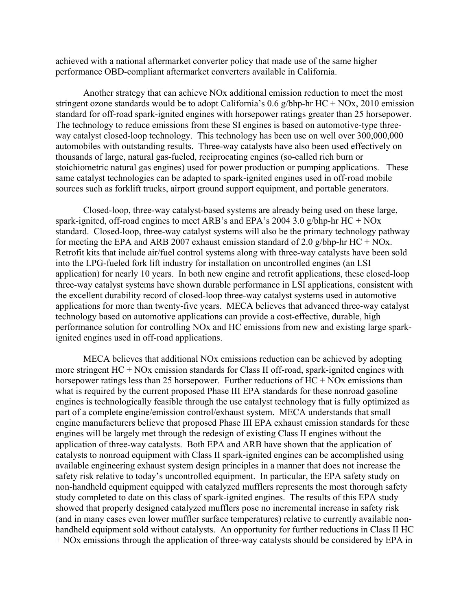achieved with a national aftermarket converter policy that made use of the same higher performance OBD-compliant aftermarket converters available in California.

Another strategy that can achieve NOx additional emission reduction to meet the most stringent ozone standards would be to adopt California's 0.6 g/bhp-hr  $HC + NOx$ , 2010 emission standard for off-road spark-ignited engines with horsepower ratings greater than 25 horsepower. The technology to reduce emissions from these SI engines is based on automotive-type threeway catalyst closed-loop technology. This technology has been use on well over 300,000,000 automobiles with outstanding results. Three-way catalysts have also been used effectively on thousands of large, natural gas-fueled, reciprocating engines (so-called rich burn or stoichiometric natural gas engines) used for power production or pumping applications. These same catalyst technologies can be adapted to spark-ignited engines used in off-road mobile sources such as forklift trucks, airport ground support equipment, and portable generators.

Closed-loop, three-way catalyst-based systems are already being used on these large, spark-ignited, off-road engines to meet ARB's and EPA's 2004 3.0 g/bhp-hr HC + NOx standard. Closed-loop, three-way catalyst systems will also be the primary technology pathway for meeting the EPA and ARB 2007 exhaust emission standard of 2.0 g/bhp-hr  $HC + NOx$ . Retrofit kits that include air/fuel control systems along with three-way catalysts have been sold into the LPG-fueled fork lift industry for installation on uncontrolled engines (an LSI application) for nearly 10 years. In both new engine and retrofit applications, these closed-loop three-way catalyst systems have shown durable performance in LSI applications, consistent with the excellent durability record of closed-loop three-way catalyst systems used in automotive applications for more than twenty-five years. MECA believes that advanced three-way catalyst technology based on automotive applications can provide a cost-effective, durable, high performance solution for controlling NOx and HC emissions from new and existing large sparkignited engines used in off-road applications.

MECA believes that additional NOx emissions reduction can be achieved by adopting more stringent HC + NOx emission standards for Class II off-road, spark-ignited engines with horsepower ratings less than 25 horsepower. Further reductions of  $HC + NOx$  emissions than what is required by the current proposed Phase III EPA standards for these nonroad gasoline engines is technologically feasible through the use catalyst technology that is fully optimized as part of a complete engine/emission control/exhaust system. MECA understands that small engine manufacturers believe that proposed Phase III EPA exhaust emission standards for these engines will be largely met through the redesign of existing Class II engines without the application of three-way catalysts. Both EPA and ARB have shown that the application of catalysts to nonroad equipment with Class II spark-ignited engines can be accomplished using available engineering exhaust system design principles in a manner that does not increase the safety risk relative to today's uncontrolled equipment. In particular, the EPA safety study on non-handheld equipment equipped with catalyzed mufflers represents the most thorough safety study completed to date on this class of spark-ignited engines. The results of this EPA study showed that properly designed catalyzed mufflers pose no incremental increase in safety risk (and in many cases even lower muffler surface temperatures) relative to currently available nonhandheld equipment sold without catalysts. An opportunity for further reductions in Class II HC + NOx emissions through the application of three-way catalysts should be considered by EPA in